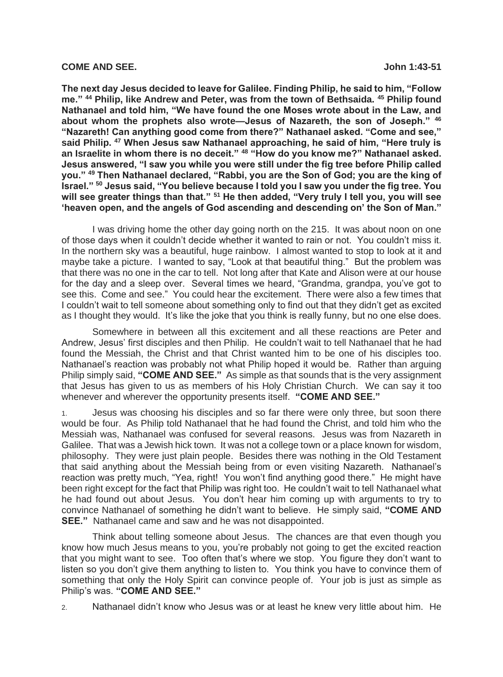## **COME AND SEE. John 1:43-51**

**The next day Jesus decided to leave for Galilee. Finding Philip, he said to him, "Follow me." <sup>44</sup> Philip, like Andrew and Peter, was from the town of Bethsaida. <sup>45</sup> Philip found Nathanael and told him, "We have found the one Moses wrote about in the Law, and about whom the prophets also wrote—Jesus of Nazareth, the son of Joseph." <sup>46</sup> "Nazareth! Can anything good come from there?" Nathanael asked. "Come and see," said Philip. <sup>47</sup> When Jesus saw Nathanael approaching, he said of him, "Here truly is an Israelite in whom there is no deceit." <sup>48</sup> "How do you know me?" Nathanael asked. Jesus answered, "I saw you while you were still under the fig tree before Philip called you." <sup>49</sup> Then Nathanael declared, "Rabbi, you are the Son of God; you are the king of Israel." <sup>50</sup> Jesus said, "You believe because I told you I saw you under the fig tree. You will see greater things than that." <sup>51</sup> He then added, "Very truly I tell you, you will see 'heaven open, and the angels of God ascending and descending on' the Son of Man."** 

I was driving home the other day going north on the 215. It was about noon on one of those days when it couldn't decide whether it wanted to rain or not. You couldn't miss it. In the northern sky was a beautiful, huge rainbow. I almost wanted to stop to look at it and maybe take a picture. I wanted to say, "Look at that beautiful thing." But the problem was that there was no one in the car to tell. Not long after that Kate and Alison were at our house for the day and a sleep over. Several times we heard, "Grandma, grandpa, you've got to see this. Come and see." You could hear the excitement. There were also a few times that I couldn't wait to tell someone about something only to find out that they didn't get as excited as I thought they would. It's like the joke that you think is really funny, but no one else does.

Somewhere in between all this excitement and all these reactions are Peter and Andrew, Jesus' first disciples and then Philip. He couldn't wait to tell Nathanael that he had found the Messiah, the Christ and that Christ wanted him to be one of his disciples too. Nathanael's reaction was probably not what Philip hoped it would be. Rather than arguing Philip simply said, **"COME AND SEE."** As simple as that sounds that is the very assignment that Jesus has given to us as members of his Holy Christian Church. We can say it too whenever and wherever the opportunity presents itself. **"COME AND SEE."**

1. Jesus was choosing his disciples and so far there were only three, but soon there would be four. As Philip told Nathanael that he had found the Christ, and told him who the Messiah was, Nathanael was confused for several reasons. Jesus was from Nazareth in Galilee. That was a Jewish hick town. It was not a college town or a place known for wisdom, philosophy. They were just plain people. Besides there was nothing in the Old Testament that said anything about the Messiah being from or even visiting Nazareth. Nathanael's reaction was pretty much, "Yea, right! You won't find anything good there." He might have been right except for the fact that Philip was right too. He couldn't wait to tell Nathanael what he had found out about Jesus. You don't hear him coming up with arguments to try to convince Nathanael of something he didn't want to believe. He simply said, **"COME AND SEE."** Nathanael came and saw and he was not disappointed.

Think about telling someone about Jesus. The chances are that even though you know how much Jesus means to you, you're probably not going to get the excited reaction that you might want to see. Too often that's where we stop. You figure they don't want to listen so you don't give them anything to listen to. You think you have to convince them of something that only the Holy Spirit can convince people of. Your job is just as simple as Philip's was. **"COME AND SEE."**

2. Nathanael didn't know who Jesus was or at least he knew very little about him. He